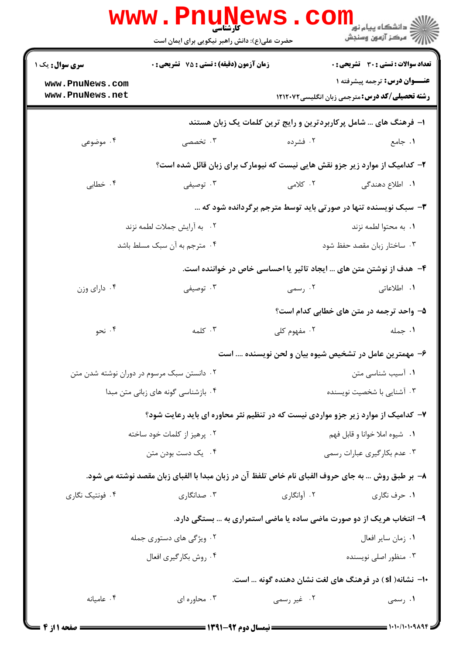|                                    | <b>WWW.PNUNEWS</b><br><b>کارشناسی</b><br>حضرت علی(ع): دانش راهبر نیکویی برای ایمان است             |                               | ر دانشڪاه پيام نور ■<br>ا∛ مرکز آزمون وسنڊش                                                  |  |  |
|------------------------------------|----------------------------------------------------------------------------------------------------|-------------------------------|----------------------------------------------------------------------------------------------|--|--|
| سری سوال: یک ۱                     | <b>زمان آزمون (دقیقه) : تستی : 75 تشریحی : 0</b>                                                   |                               | تعداد سوالات : تستى : 30 ٪ تشريحي : 0                                                        |  |  |
| www.PnuNews.com<br>www.PnuNews.net |                                                                                                    |                               | <b>عنــوان درس:</b> ترجمه پیشرفته ۱<br><b>رشته تحصیلی/کد درس: مترجمی زبان انگلیسی۱۲۱۲۰۷۲</b> |  |  |
|                                    | ا– فرهنگ های … شامل پرکاربردترین و رایج ترین کلمات یک زبان هستند                                   |                               |                                                                                              |  |  |
| ۰۴ موضوعی                          | ۰۳ تخصصی                                                                                           | ۰۲ فشرده                      | ۱. جامع                                                                                      |  |  |
|                                    | ۲- کدامیک از موارد زیر جزو نقش هایی نیست که نیومارک برای زبان قائل شده است؟                        |                               |                                                                                              |  |  |
| ۰۴ خطابی                           | ۰۳ توصیفی                                                                                          | ۲. کلامی                      | <b>۱.</b> اطلاع دهندگی                                                                       |  |  |
|                                    |                                                                                                    |                               | ۳- سبک نویسنده تنها در صورتی باید توسط مترجم برگردانده شود که                                |  |  |
|                                    | ۰۲ به آرایش جملات لطمه نزند                                                                        |                               | ٠١. به محتوا لطمه نزند                                                                       |  |  |
|                                    | ۰۴ مترجم به آن سبک مسلط باشد                                                                       |                               | ۰۳ ساختار زبان مقصد حفظ شود                                                                  |  |  |
|                                    |                                                                                                    |                               | ۴– هدف از نوشتن متن های … ایجاد تاثیر یا احساسی خاص در خواننده است.                          |  |  |
| ۰۴ دارای وزن                       | ۰۳ توصیفی                                                                                          | ۰۲ رسمی                       | ۰۱ اطلاعاتی                                                                                  |  |  |
|                                    |                                                                                                    |                               | ۵– واحد ترجمه در متن های خطابی کدام است؟                                                     |  |  |
| ۰۴ نحو                             | ۰۳ کلمه                                                                                            | ۰۲ مفهوم کلی                  | ۰۱ جمله                                                                                      |  |  |
|                                    |                                                                                                    |                               | ۶– مهمترین عامل در تشخیص شیوه بیان و لحن نویسنده  است                                        |  |  |
|                                    | ۰۲ دانستن سبک مرسوم در دوران نوشته شدن متن                                                         |                               | ۰۱ آسیب شناسی متن                                                                            |  |  |
|                                    | ۰۴ بازشناسی گونه های زبانی متن مبدا                                                                | ۰۳ آشنایی با شخصیت نویسنده    |                                                                                              |  |  |
|                                    | ۷- کدامیک از موارد زیر جزو مواردی نیست که در تنظیم نثر محاوره ای باید رعایت شود؟                   |                               |                                                                                              |  |  |
|                                    | ۰۲ پرهيز از کلمات خود ساخته                                                                        | ۰۱ شیوه املا خوانا و قابل فهم |                                                                                              |  |  |
|                                    | ۰۴ یک دست بودن متن                                                                                 |                               | ۰۳ عدم بکارگیری عبارات رسمی                                                                  |  |  |
|                                    | ۸–  بر طبق روش … به جای حروف الفبای نام خاص تلفظ آن در زبان مبدا با الفبای زبان مقصد نوشته می شود. |                               |                                                                                              |  |  |
| ۰۴ فونتیک نگاری                    | ۰۳ صدانگاری                                                                                        | ۰۲ آوانگاری                   | ۰۱ حرف نگاري                                                                                 |  |  |
|                                    |                                                                                                    |                               | ۹- انتخاب هریک از دو صورت ماضی ساده یا ماضی استمراری به … بستگی دارد.                        |  |  |
|                                    | ۰۲ ویژگی های دستوری جمله                                                                           |                               | ۰۱ زمان ساير افعال                                                                           |  |  |
|                                    | ۰۴ روش بكارگيري افعال                                                                              |                               | ۰۳ منظور اصلی نویسنده                                                                        |  |  |
|                                    |                                                                                                    |                               | ۱۰–  نشانه( sl) در فرهنگ های لغت نشان دهنده گونه … است.                                      |  |  |
| ۰۴ عامیانه                         | ۰۳ محاوره ای                                                                                       | ۰۲ غیر رسمی                   | ۰۱ رسمی                                                                                      |  |  |
|                                    |                                                                                                    |                               |                                                                                              |  |  |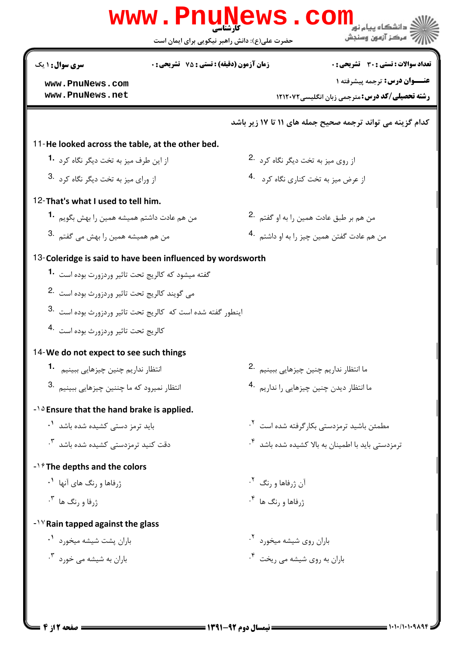| <b>سری سوال : ۱ یک</b>                                      | <b>زمان آزمون (دقیقه) : تستی : 75 ٪ تشریحی : 0</b>            | تعداد سوالات : تستى : 30 - تشريحي : 0                          |
|-------------------------------------------------------------|---------------------------------------------------------------|----------------------------------------------------------------|
| www.PnuNews.com                                             |                                                               | <b>عنــوان درس:</b> ترجمه پیشرفته ۱                            |
| www.PnuNews.net                                             |                                                               | <b>رشته تحصیلی/کد درس: مترجمی زبان انگلیسی/۱۲۱۲۰۷۲</b>         |
|                                                             |                                                               | کدام گزینه می تواند ترجمه صحیح جمله های ۱۱ تا ۱۷ زیر باشد      |
| 11-He looked across the table, at the other bed.            |                                                               |                                                                |
| از این طرف میز به تخت دیگر نگاه کرد <b>1</b> ۰              |                                                               | از روی میز به تخت دیگر نگاه کرد 2.                             |
| از ورای میز به تخت دیگر نگاه کرد 3.                         |                                                               | از عرض میز به تخت کناری نگاه کرد 4.                            |
| 12-That's what I used to tell him.                          |                                                               |                                                                |
| من هم عادت داشتم همیشه همین را بهش بگویم <sup>1</sup> ۰     |                                                               | من هم بر طبق عادت همين را به او گفتم 2.                        |
| من هم همیشه همین را بهش می گفتم .3                          |                                                               | من هم عادت گفتن همین چیز را به او داشتم <sup>۹۰</sup> ۰        |
|                                                             | 13-Coleridge is said to have been influenced by wordsworth    |                                                                |
| گفته میشود که کالریج تحت تاثیر وردزورت بوده است  • <b>1</b> |                                                               |                                                                |
| می گویند کالریج تحت تاثیر وردزورث بوده است <sup>.2</sup>    |                                                               |                                                                |
|                                                             | اينطور گفته شده است كه  كالريج تحت تاثير وردزورث بوده است  .3 |                                                                |
| كالريج تحت تاثير وردزورث بوده است 4.                        |                                                               |                                                                |
| 14-We do not expect to see such things                      |                                                               |                                                                |
| انتظار نداريم چنين چيزهايي ببينيم 1.                        |                                                               | ما انتظار نداريم چنين چيزهايي ببينيم 2.                        |
| انتظار نميرود كه ما چننين چيزهايي ببينيم   .3               |                                                               | ما انتظار ديدن چنين چيزهايي را نداريم <sup>4</sup> ۰           |
| $-10$ Ensure that the hand brake is applied.                |                                                               |                                                                |
| باید ترمز دستی کشیده شده باشد <sup>۱</sup> ۰                |                                                               | مطمئن باشید ترمزدستی بکار گرفته شده است <sup>۲</sup> ۰         |
| دقت کنید ترمزدست <i>ی</i> کشیده شده باشد <sup>۳</sup> ۰     |                                                               | ترمزدستی باید با اطمینان به بالا کشیده شده باشد <sup>۴</sup> ۰ |
| $-1\hat{r}$ The depths and the colors                       |                                                               |                                                                |
| ژرفاها و <sub>د</sub> نگ های آنها <sup>۱</sup> ۰            |                                                               | آن ژرفاها و <sub>ر</sub> نگ <sup>۲</sup> ۰                     |
| $\cdot^7$ او رنگ ها $\cdot$                                 |                                                               | $\cdot^{\mathfrak{e}}$ زرفاها و رنگ ها                         |
| $-1$ <sup>V</sup> Rain tapped against the glass             |                                                               |                                                                |
| باران پشت شیشه میخورد <sup>۱</sup> ۰                        |                                                               | باران روی شیشه میخورد <sup>۲</sup> ۰                           |
| باران به شیشه می خورد ۳.                                    |                                                               | باران به روی شیشه می ریخت <sup>۴</sup> ۰                       |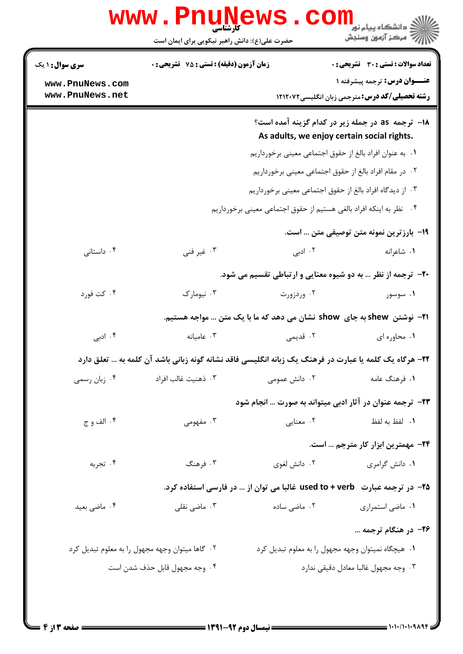|                                    | <b>WWW.PNUN</b><br>کارشناسی<br>حضرت علی(ع): دانش راهبر نیکویی برای ایمان است                           |               | <mark>ڪ</mark> دانشگاه پيام نور<br>أزاز آن مرکز آزمون وسنجش                                     |  |
|------------------------------------|--------------------------------------------------------------------------------------------------------|---------------|-------------------------------------------------------------------------------------------------|--|
| <b>سری سوال : ۱ یک</b>             | <b>زمان آزمون (دقیقه) : تستی : 75 تشریحی : 0</b>                                                       |               | <b>تعداد سوالات : تستی : 30 ٪ تشریحی : 0</b>                                                    |  |
| www.PnuNews.com<br>www.PnuNews.net |                                                                                                        |               | <b>عنــوان درس:</b> ترجمه پیشرفته ۱<br><b>رشته تحصیلی/کد درس:</b> مترجمی زبان انگلیسی۱۲۱۲۰۷۲    |  |
|                                    |                                                                                                        |               | ۱۸− ترجمه as در جمله زیر در کدام گزینه آمده است؟<br>As adults, we enjoy certain social rights.  |  |
|                                    | ٠١. به عنوان افراد بالغ از حقوق اجتماعي معيني برخورداريم                                               |               |                                                                                                 |  |
|                                    | ٠٢ در مقام افراد بالغ از حقوق اجتماعي معيني برخورداريم                                                 |               |                                                                                                 |  |
|                                    |                                                                                                        |               | ۰۳ از دیدگاه افراد بالغ از حقوق اجتماعی معینی برخورداریم                                        |  |
|                                    |                                                                                                        |               | ۰۴ نظر به اینکه افراد بالغی هستیم از حقوق اجتماعی معینی برخورداریم                              |  |
|                                    |                                                                                                        |               | 1۹– بارزترین نمونه متن توصیفی متن … است.                                                        |  |
| ۰۴ داستانی                         | ۰۳ غیر فنی                                                                                             | ۲. ادبی       | ۰۱ شاعرانه                                                                                      |  |
|                                    |                                                                                                        |               | <b>۲۰</b> - ترجمه از نظر … به دو شیوه معنایی و ارتباطی تقسیم می شود.                            |  |
| ۰۴ کت فورد                         | ۰۳ نیومارک                                                                                             | ۰۲ وردزورت    | ۰۱ سوسور                                                                                        |  |
|                                    |                                                                                                        |               | ۲۱− نوشتن  shew به جای  show نشان می دهد که ما با یک متن … مواجه هستیم.                         |  |
| ۰۴ ادبی                            | ۰۳ عامیانه                                                                                             | ۲. قدیمی      | ۰۱ محاوره ای                                                                                    |  |
|                                    | ۲۲– هرگاه یک کلمه یا عبارت در فرهنگ یک زبانه انگلیسی فاقد نشانه گونه زبانی باشد آن کلمه به … تعلق دارد |               |                                                                                                 |  |
| ۰۴ زبان رسمي                       | ۰۳ ذهنيت غالب افراد                                                                                    | ۰۲ دانش عمومی | ۰۱ فرهنگ عامه                                                                                   |  |
|                                    |                                                                                                        |               | <b>۲۳</b> - ترجمه عنوان در آثار ادبی میتواند به صورت  انجام شود                                 |  |
| ۰۴ الف و ج                         | ۰۳ مفهومی                                                                                              | ۰۲ معنایی     | ٠١. لفظ به لفظ                                                                                  |  |
|                                    |                                                                                                        |               | ۲۴– مهمترین ابزار کار مترجم … است.                                                              |  |
| ۰۴ تجربه                           | ۰۳ فرهنگ                                                                                               | ۰۲ دانش لغوی  | ۰۱ دانش گرامری                                                                                  |  |
|                                    |                                                                                                        |               | <mark>۲۵</mark> - در ترجمه عبارت <b>used to + verb غالبا می توان از … در فارسی استفاده کرد.</b> |  |
| ۰۴ ماضی بعید                       | ۰۳ ماضی نقلی                                                                                           | ۰۲ ماضی ساده  | ۰۱ ماضي استمراري                                                                                |  |
|                                    |                                                                                                        |               | ۲۶– در هنگام ترجمه                                                                              |  |
|                                    | ۰۲ گاها میتوان وجهه مجهول را به معلوم تبدیل کرد                                                        |               | ۰۱ هیچگاه نمیتوان وجهه مجهول را به معلوم تبدیل کرد                                              |  |
|                                    | ۰۴ وجه مجهول قابل حذف شدن است                                                                          |               | ٠٣ وجه مجهول غالبا معادل دقيقي ندارد                                                            |  |
|                                    |                                                                                                        |               |                                                                                                 |  |